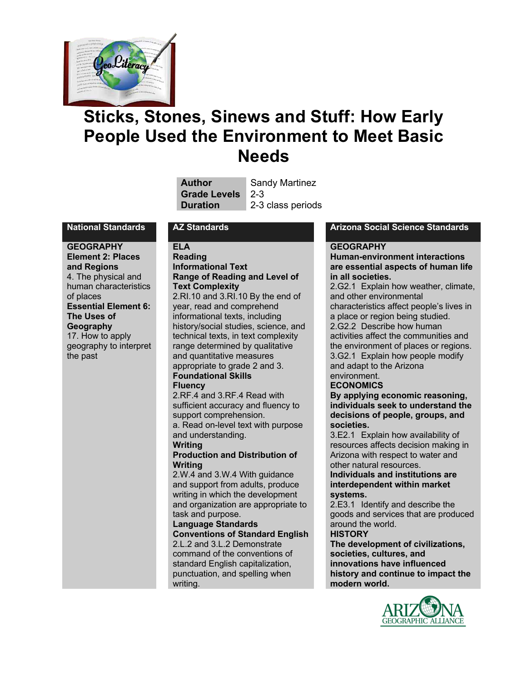

# **Sticks, Stones, Sinews and Stuff: How Early People Used the Environment to Meet Basic Needs**

| <b>Author</b>       | <b>Sandy Martinez</b> |
|---------------------|-----------------------|
| <b>Grade Levels</b> | $\sqrt{2-3}$          |
| <b>Duration</b>     | 2-3 class periods     |

**GEOGRAPHY Element 2: Places and Regions** 4. The physical and human characteristics of places **Essential Element 6: The Uses of Geography** 17. How to apply geography to interpret the past

#### **ELA**

#### **Reading Informational Text Range of Reading and Level of Text Complexity**

2.RI.10 and 3.RI.10 By the end of year, read and comprehend informational texts, including history/social studies, science, and technical texts, in text complexity range determined by qualitative and quantitative measures appropriate to grade 2 and 3. **Foundational Skills**

#### **Fluency**

2.RF.4 and 3.RF.4 Read with sufficient accuracy and fluency to support comprehension. a. Read on-level text with purpose and understanding.

**Writing**

#### **Production and Distribution of Writing**

2.W.4 and 3.W.4 With guidance and support from adults, produce writing in which the development and organization are appropriate to task and purpose.

#### **Language Standards Conventions of Standard English** 2.L.2 and 3.L.2 Demonstrate command of the conventions of standard English capitalization, punctuation, and spelling when writing.

#### **National Standards AZ Standards Arizona Social Science Standards**

### **GEOGRAPHY**

**Human-environment interactions are essential aspects of human life in all societies.**

2.G2.1 Explain how weather, climate, and other environmental characteristics affect people's lives in a place or region being studied. 2.G2.2 Describe how human activities affect the communities and the environment of places or regions. 3.G2.1 Explain how people modify and adapt to the Arizona environment.

### **ECONOMICS**

**By applying economic reasoning, individuals seek to understand the decisions of people, groups, and societies.**

3.E2.1 Explain how availability of resources affects decision making in Arizona with respect to water and other natural resources.

**Individuals and institutions are interdependent within market systems.**

2.E3.1 Identify and describe the goods and services that are produced around the world.

#### **HISTORY**

**The development of civilizations, societies, cultures, and innovations have influenced history and continue to impact the modern world.**

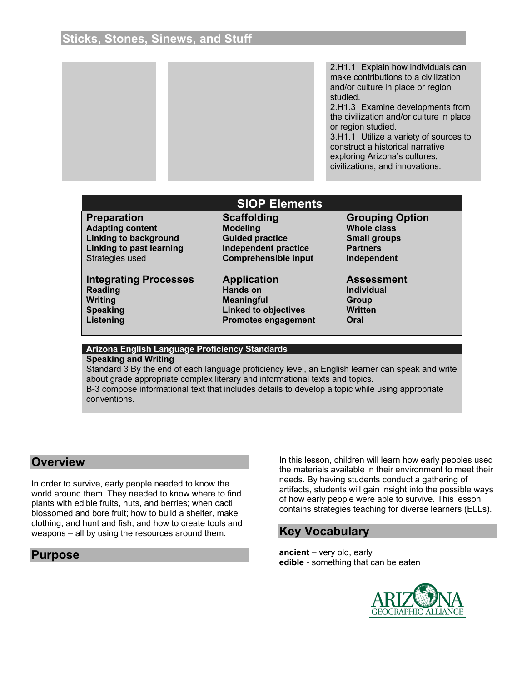2.H1.1 Explain how individuals can make contributions to a civilization and/or culture in place or region studied.

2.H1.3 Examine developments from the civilization and/or culture in place or region studied.

3.H1.1 Utilize a variety of sources to construct a historical narrative exploring Arizona's cultures, civilizations, and innovations.

| <b>SIOP Elements</b>            |                             |                        |  |
|---------------------------------|-----------------------------|------------------------|--|
| <b>Preparation</b>              | <b>Scaffolding</b>          | <b>Grouping Option</b> |  |
| <b>Adapting content</b>         | <b>Modeling</b>             | <b>Whole class</b>     |  |
| <b>Linking to background</b>    | <b>Guided practice</b>      | <b>Small groups</b>    |  |
| <b>Linking to past learning</b> | <b>Independent practice</b> | <b>Partners</b>        |  |
| Strategies used                 | <b>Comprehensible input</b> | Independent            |  |
| <b>Integrating Processes</b>    | <b>Application</b>          | <b>Assessment</b>      |  |
| <b>Reading</b>                  | <b>Hands on</b>             | <b>Individual</b>      |  |
| <b>Writing</b>                  | <b>Meaningful</b>           | <b>Group</b>           |  |
| <b>Speaking</b>                 | <b>Linked to objectives</b> | <b>Written</b>         |  |
| Listening                       | <b>Promotes engagement</b>  | Oral                   |  |

#### **Arizona English Language Proficiency Standards**

#### **Speaking and Writing**

Standard 3 By the end of each language proficiency level, an English learner can speak and write about grade appropriate complex literary and informational texts and topics. B-3 compose informational text that includes details to develop a topic while using appropriate conventions.

### **Overview**

In order to survive, early people needed to know the world around them. They needed to know where to find plants with edible fruits, nuts, and berries; when cacti blossomed and bore fruit; how to build a shelter, make clothing, and hunt and fish; and how to create tools and weapons – all by using the resources around them.

### **Purpose**

In this lesson, children will learn how early peoples used the materials available in their environment to meet their needs. By having students conduct a gathering of artifacts, students will gain insight into the possible ways of how early people were able to survive. This lesson contains strategies teaching for diverse learners (ELLs).

### **Key Vocabulary**

**ancient** – very old, early **edible** - something that can be eaten

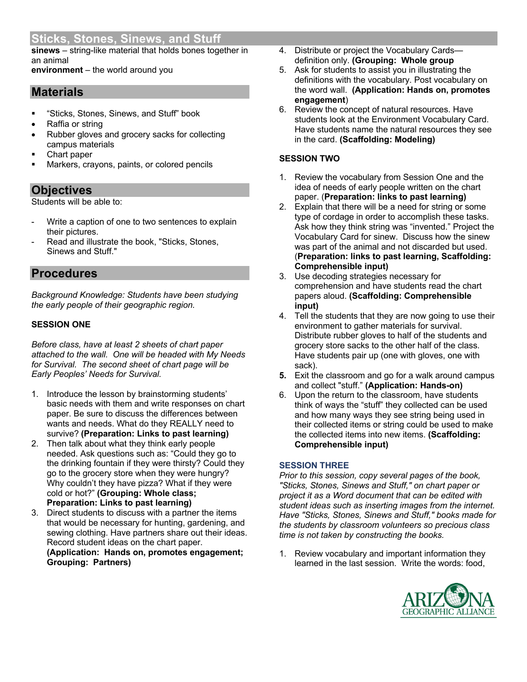**sinews** – string-like material that holds bones together in an animal

**environment** – the world around you

## **Materials**

- § "Sticks, Stones, Sinews, and Stuff" book
- Raffia or string
- Rubber gloves and grocery sacks for collecting campus materials
- Chart paper
- Markers, crayons, paints, or colored pencils

## **Objectives**

Students will be able to:

- Write a caption of one to two sentences to explain their pictures.
- Read and illustrate the book, "Sticks, Stones, Sinews and Stuff."

## **Procedures**

*Background Knowledge: Students have been studying the early people of their geographic region.*

### **SESSION ONE**

*Before class, have at least 2 sheets of chart paper attached to the wall. One will be headed with My Needs for Survival. The second sheet of chart page will be Early Peoples' Needs for Survival.*

- 1. Introduce the lesson by brainstorming students' basic needs with them and write responses on chart paper. Be sure to discuss the differences between wants and needs. What do they REALLY need to survive? **(Preparation: Links to past learning)**
- 2. Then talk about what they think early people needed. Ask questions such as: "Could they go to the drinking fountain if they were thirsty? Could they go to the grocery store when they were hungry? Why couldn't they have pizza? What if they were cold or hot?" **(Grouping: Whole class; Preparation: Links to past learning)**
- 3. Direct students to discuss with a partner the items that would be necessary for hunting, gardening, and sewing clothing. Have partners share out their ideas. Record student ideas on the chart paper. **(Application: Hands on, promotes engagement; Grouping: Partners)**
- 4. Distribute or project the Vocabulary Cards definition only. **(Grouping: Whole group**
- 5. Ask for students to assist you in illustrating the definitions with the vocabulary. Post vocabulary on the word wall. **(Application: Hands on, promotes engagement**)
- 6. Review the concept of natural resources. Have students look at the Environment Vocabulary Card. Have students name the natural resources they see in the card. **(Scaffolding: Modeling)**

### **SESSION TWO**

- 1. Review the vocabulary from Session One and the idea of needs of early people written on the chart paper. (**Preparation: links to past learning)**
- 2. Explain that there will be a need for string or some type of cordage in order to accomplish these tasks. Ask how they think string was "invented." Project the Vocabulary Card for sinew. Discuss how the sinew was part of the animal and not discarded but used. (**Preparation: links to past learning, Scaffolding: Comprehensible input)**
- 3. Use decoding strategies necessary for comprehension and have students read the chart papers aloud. **(Scaffolding: Comprehensible input)**
- 4. Tell the students that they are now going to use their environment to gather materials for survival. Distribute rubber gloves to half of the students and grocery store sacks to the other half of the class. Have students pair up (one with gloves, one with sack).
- **5.** Exit the classroom and go for a walk around campus and collect "stuff." **(Application: Hands-on)**
- 6. Upon the return to the classroom, have students think of ways the "stuff" they collected can be used and how many ways they see string being used in their collected items or string could be used to make the collected items into new items. **(Scaffolding: Comprehensible input)**

### **SESSION THREE**

*Prior to this session, copy several pages of the book, "Sticks, Stones, Sinews and Stuff," on chart paper or project it as a Word document that can be edited with student ideas such as inserting images from the internet. Have "Sticks, Stones, Sinews and Stuff," books made for the students by classroom volunteers so precious class time is not taken by constructing the books.* 

1. Review vocabulary and important information they learned in the last session. Write the words: food,